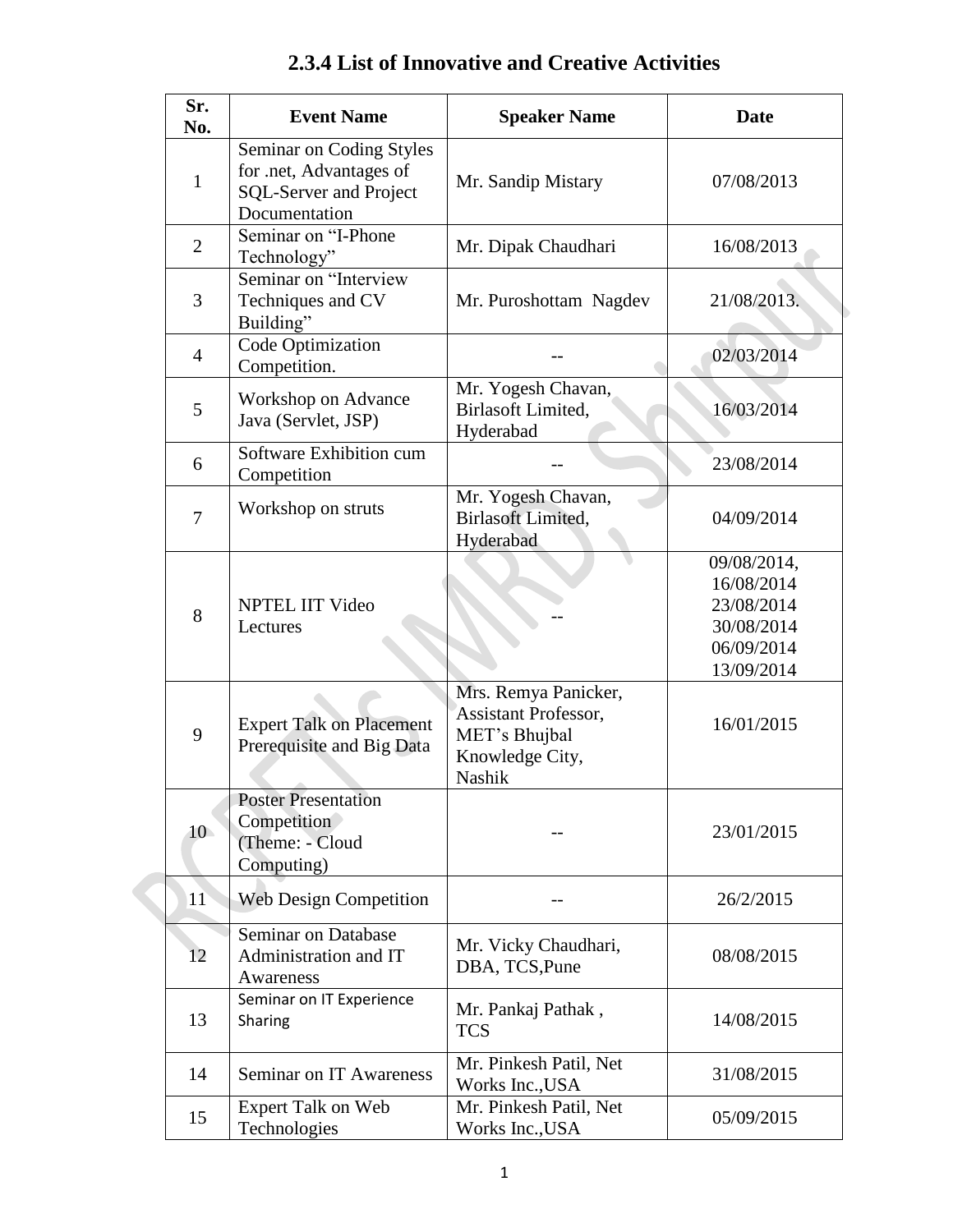| Sr.<br>No.     | <b>Event Name</b>                                                                                     | <b>Speaker Name</b>                                                                        | <b>Date</b>                                                                       |
|----------------|-------------------------------------------------------------------------------------------------------|--------------------------------------------------------------------------------------------|-----------------------------------------------------------------------------------|
| $\mathbf{1}$   | Seminar on Coding Styles<br>for .net, Advantages of<br><b>SQL-Server and Project</b><br>Documentation | Mr. Sandip Mistary                                                                         | 07/08/2013                                                                        |
| $\overline{2}$ | Seminar on "I-Phone<br>Technology"                                                                    | Mr. Dipak Chaudhari                                                                        | 16/08/2013                                                                        |
| 3              | Seminar on "Interview<br>Techniques and CV<br>Building"                                               | Mr. Puroshottam Nagdev                                                                     | 21/08/2013.                                                                       |
| $\overline{4}$ | Code Optimization<br>Competition.                                                                     |                                                                                            | 02/03/2014                                                                        |
| 5              | Workshop on Advance<br>Java (Servlet, JSP)                                                            | Mr. Yogesh Chavan,<br>Birlasoft Limited,<br>Hyderabad                                      | 16/03/2014                                                                        |
| 6              | Software Exhibition cum<br>Competition                                                                |                                                                                            | 23/08/2014                                                                        |
| $\overline{7}$ | Workshop on struts                                                                                    | Mr. Yogesh Chavan,<br><b>Birlasoft Limited,</b><br>Hyderabad                               | 04/09/2014                                                                        |
| 8              | <b>NPTEL IIT Video</b><br>Lectures                                                                    |                                                                                            | 09/08/2014,<br>16/08/2014<br>23/08/2014<br>30/08/2014<br>06/09/2014<br>13/09/2014 |
| 9              | <b>Expert Talk on Placement</b><br>Prerequisite and Big Data                                          | Mrs. Remya Panicker,<br>Assistant Professor,<br>MET's Bhujbal<br>Knowledge City,<br>Nashik | 16/01/2015                                                                        |
| 10             | <b>Poster Presentation</b><br>Competition<br>(Theme: - Cloud<br>Computing)                            |                                                                                            | 23/01/2015                                                                        |
| 11             | <b>Web Design Competition</b>                                                                         |                                                                                            | 26/2/2015                                                                         |
| 12             | Seminar on Database<br>Administration and IT<br>Awareness                                             | Mr. Vicky Chaudhari,<br>DBA, TCS, Pune                                                     | 08/08/2015                                                                        |
| 13             | Seminar on IT Experience<br>Sharing                                                                   | Mr. Pankaj Pathak,<br><b>TCS</b>                                                           | 14/08/2015                                                                        |
| 14             | Seminar on IT Awareness                                                                               | Mr. Pinkesh Patil, Net<br>Works Inc., USA                                                  | 31/08/2015                                                                        |
| 15             | Expert Talk on Web<br>Technologies                                                                    | Mr. Pinkesh Patil, Net<br>Works Inc., USA                                                  | 05/09/2015                                                                        |

## **2.3.4 List of Innovative and Creative Activities**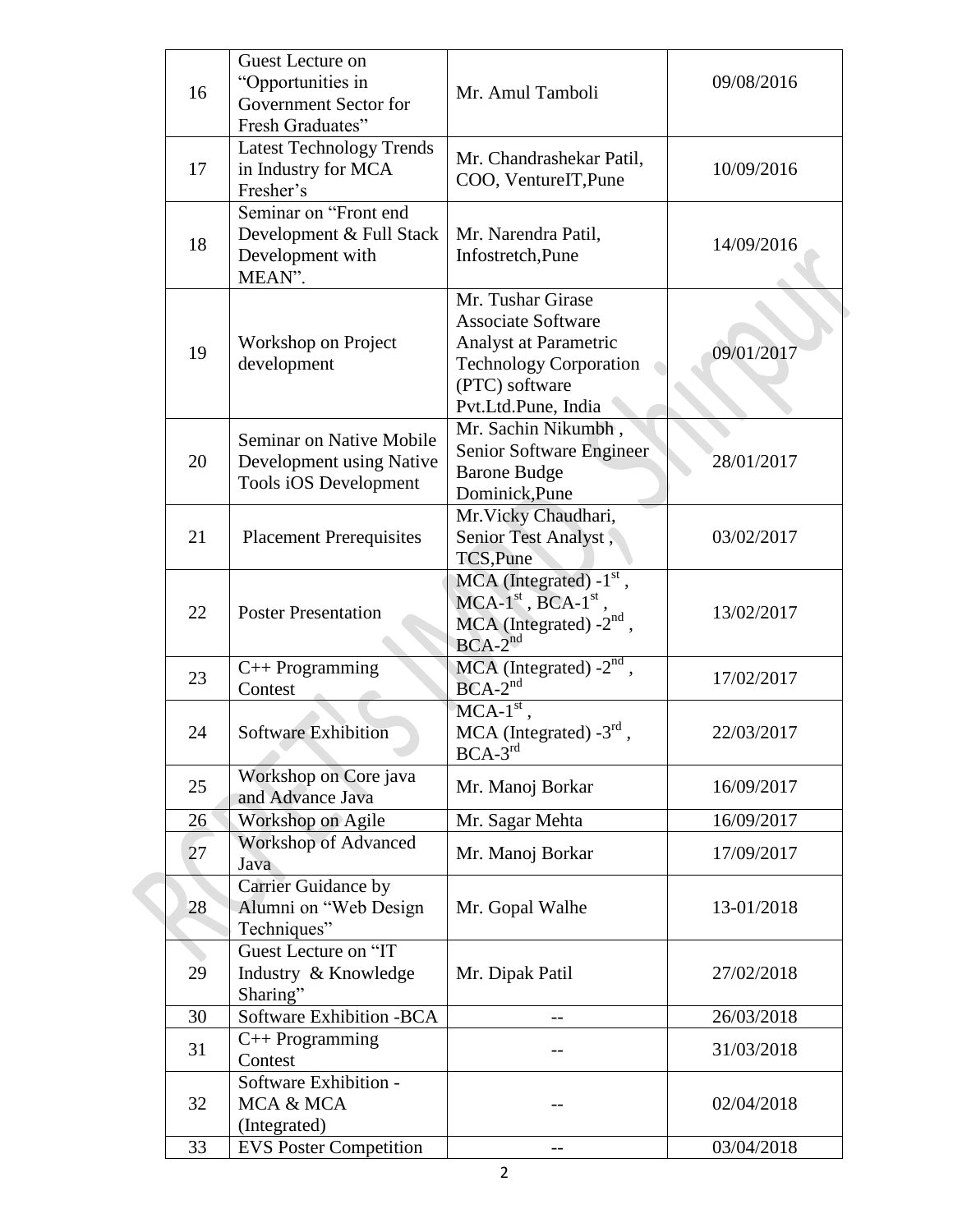| 16 | Guest Lecture on<br>"Opportunities in<br>Government Sector for<br>Fresh Graduates" | Mr. Amul Tamboli                                                                                                                                  | 09/08/2016 |
|----|------------------------------------------------------------------------------------|---------------------------------------------------------------------------------------------------------------------------------------------------|------------|
| 17 | <b>Latest Technology Trends</b><br>in Industry for MCA<br>Fresher's                | Mr. Chandrashekar Patil,<br>COO, VentureIT, Pune                                                                                                  | 10/09/2016 |
| 18 | Seminar on "Front end<br>Development & Full Stack<br>Development with<br>MEAN".    | Mr. Narendra Patil,<br>Infostretch, Pune                                                                                                          | 14/09/2016 |
| 19 | Workshop on Project<br>development                                                 | Mr. Tushar Girase<br><b>Associate Software</b><br>Analyst at Parametric<br><b>Technology Corporation</b><br>(PTC) software<br>Pvt.Ltd.Pune, India | 09/01/2017 |
| 20 | Seminar on Native Mobile<br>Development using Native<br>Tools iOS Development      | Mr. Sachin Nikumbh,<br>Senior Software Engineer<br><b>Barone Budge</b><br>Dominick, Pune                                                          | 28/01/2017 |
| 21 | <b>Placement Prerequisites</b>                                                     | Mr. Vicky Chaudhari,<br>Senior Test Analyst,<br>TCS, Pune                                                                                         | 03/02/2017 |
| 22 | <b>Poster Presentation</b>                                                         | $MCA$ (Integrated) $-1st$ ,<br>$MCA-1st$ , BCA-1 <sup>st</sup> ,<br>MCA (Integrated) $-2^{nd}$ ,<br>$BCA-2^{nd}$                                  | 13/02/2017 |
| 23 | $C++$ Programming<br>Contest                                                       | $MCA$ (Integrated) - $2nd$ ,<br>$BCA-2^{nd}$                                                                                                      | 17/02/2017 |
| 24 | <b>Software Exhibition</b>                                                         | $MCA-1st$ ,<br>MCA (Integrated) $-3^{\text{rd}}$ ,<br>$BCA-3^{rd}$                                                                                | 22/03/2017 |
| 25 | Workshop on Core java<br>and Advance Java                                          | Mr. Manoj Borkar                                                                                                                                  | 16/09/2017 |
| 26 | Workshop on Agile                                                                  | Mr. Sagar Mehta                                                                                                                                   | 16/09/2017 |
| 27 | <b>Workshop of Advanced</b><br>Java                                                | Mr. Manoj Borkar                                                                                                                                  | 17/09/2017 |
| 28 | Carrier Guidance by<br>Alumni on "Web Design<br>Techniques"                        | Mr. Gopal Walhe                                                                                                                                   | 13-01/2018 |
| 29 | Guest Lecture on "IT<br>Industry & Knowledge<br>Sharing"                           | Mr. Dipak Patil                                                                                                                                   | 27/02/2018 |
| 30 | Software Exhibition -BCA                                                           |                                                                                                                                                   | 26/03/2018 |
| 31 | $C++$ Programming<br>Contest                                                       |                                                                                                                                                   | 31/03/2018 |
| 32 | Software Exhibition -<br>MCA & MCA<br>(Integrated)                                 |                                                                                                                                                   | 02/04/2018 |
| 33 | <b>EVS Poster Competition</b>                                                      |                                                                                                                                                   | 03/04/2018 |